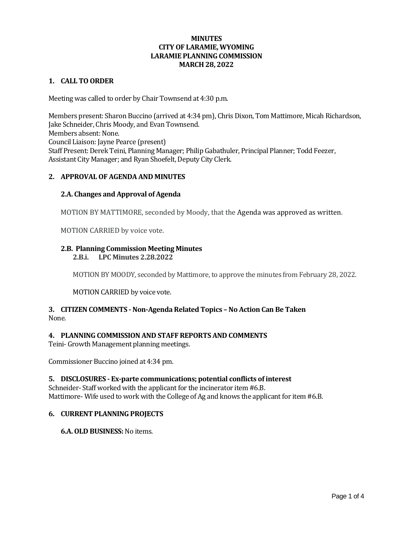#### **1. CALL TO ORDER**

Meeting was called to order by Chair Townsend at 4:30 p.m.

Members present: Sharon Buccino (arrived at 4:34 pm), Chris Dixon, Tom Mattimore, Micah Richardson, Jake Schneider, Chris Moody, and Evan Townsend. Members absent: None. Council Liaison: Jayne Pearce (present) Staff Present: Derek Teini, Planning Manager; Philip Gabathuler, Principal Planner; Todd Feezer, Assistant City Manager; and Ryan Shoefelt, Deputy City Clerk.

# **2. APPROVAL OF AGENDA AND MINUTES**

# **2.A. Changes and Approval of Agenda**

MOTION BY MATTIMORE, seconded by Moody, that the Agenda was approved as written.

MOTION CARRIED by voice vote.

# **2.B. Planning Commission Meeting Minutes**

**2.B.i. LPC Minutes 2.28.2022**

MOTION BY MOODY, seconded by Mattimore, to approve the minutes from February 28, 2022.

MOTION CARRIED by voice vote.

# **3. CITIZEN COMMENTS - Non-Agenda Related Topics – No Action Can Be Taken** None.

# **4. PLANNING COMMISSION AND STAFF REPORTS AND COMMENTS**

Teini- Growth Management planning meetings.

Commissioner Buccino joined at 4:34 pm.

#### **5. DISCLOSURES - Ex-parte communications; potential conflicts of interest**

Schneider- Staff worked with the applicant for the incinerator item #6.B. Mattimore- Wife used to work with the College of Ag and knows the applicant for item #6.B.

#### **6. CURRENT PLANNING PROJECTS**

**6.A. OLD BUSINESS:**No items.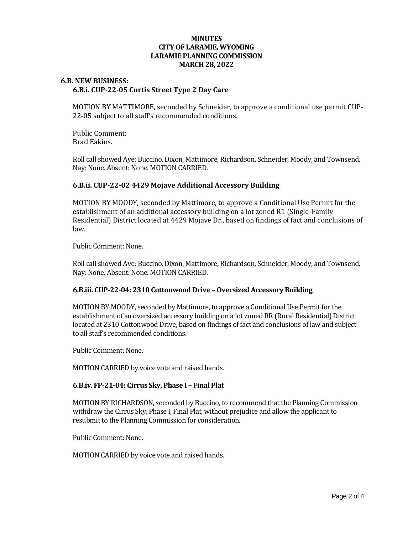### **6.B. NEW BUSINESS: 6.B.i. CUP-22-05 Curtis Street Type 2 Day Care**

MOTION BY MATTIMORE, seconded by Schneider, to approve a conditional use permit CUP-22-05 subject to all staff's recommended conditions.

Public Comment: Brad Eakins.

Roll call showed Aye: Buccino, Dixon, Mattimore, Richardson, Schneider, Moody, and Townsend. Nay: None. Absent: None. MOTION CARRIED.

# **6.B.ii. CUP-22-02 4429 Mojave Additional Accessory Building**

MOTION BY MOODY, seconded by Mattimore, to approve a Conditional Use Permit for the establishment of an additional accessory building on a lot zoned R1 (Single-Family Residential) District located at 4429 Mojave Dr., based on findings of fact and conclusions of law.

Public Comment: None.

Roll call showed Aye: Buccino, Dixon, Mattimore, Richardson, Schneider, Moody, and Townsend. Nay: None. Absent: None. MOTION CARRIED.

#### **6.B.iii. CUP-22-04: 2310 Cottonwood Drive – Oversized Accessory Building**

MOTION BY MOODY, seconded by Mattimore, to approve a Conditional Use Permit for the establishment of an oversized accessory building on a lot zoned RR (Rural Residential) District located at 2310 Cottonwood Drive, based on findings of fact and conclusions of law and subject to all staff's recommended conditions.

Public Comment: None.

MOTION CARRIED by voice vote and raised hands.

#### **6.B.iv. FP-21-04: Cirrus Sky, Phase I – Final Plat**

MOTION BY RICHARDSON, seconded by Buccino, to recommend that the Planning Commission withdraw the Cirrus Sky, Phase I, Final Plat, without prejudice and allow the applicant to resubmit to the Planning Commission for consideration.

Public Comment: None.

MOTION CARRIED by voice vote and raised hands.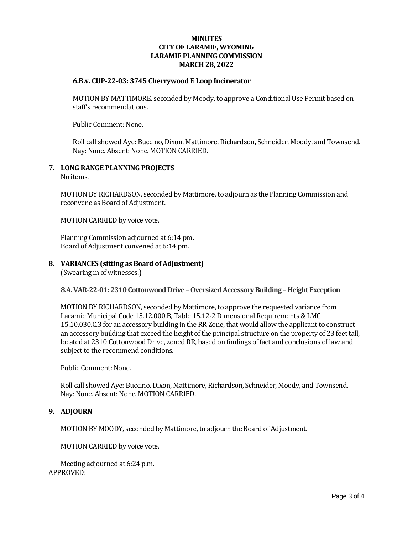#### **6.B.v. CUP-22-03: 3745 Cherrywood E Loop Incinerator**

MOTION BY MATTIMORE, seconded by Moody, to approve a Conditional Use Permit based on staff's recommendations.

Public Comment: None.

Roll call showed Aye: Buccino, Dixon, Mattimore, Richardson, Schneider, Moody, and Townsend. Nay: None. Absent: None. MOTION CARRIED.

#### **7. LONG RANGE PLANNING PROJECTS**

No items.

MOTION BY RICHARDSON, seconded by Mattimore, to adjourn as the Planning Commission and reconvene as Board of Adjustment.

MOTION CARRIED by voice vote.

Planning Commission adjourned at 6:14 pm. Board of Adjustment convened at 6:14 pm.

**8. VARIANCES (sitting as Board of Adjustment)**

(Swearing in of witnesses.)

### **8.A. VAR-22-01: 2310 Cottonwood Drive –Oversized Accessory Building –Height Exception**

MOTION BY RICHARDSON, seconded by Mattimore, to approve the requested variance from Laramie Municipal Code 15.12.000.B, Table 15.12-2 Dimensional Requirements & LMC 15.10.030.C.3 for an accessory building in the RR Zone, that would allow the applicant to construct an accessory building that exceed the height of the principal structure on the property of 23 feet tall, located at 2310 Cottonwood Drive, zoned RR, based on findings of fact and conclusions of law and subject to the recommend conditions.

Public Comment: None.

Roll call showed Aye: Buccino, Dixon, Mattimore, Richardson, Schneider, Moody, and Townsend. Nay: None. Absent: None. MOTION CARRIED.

#### **9. ADJOURN**

MOTION BY MOODY, seconded by Mattimore, to adjourn the Board of Adjustment.

MOTION CARRIED by voice vote.

Meeting adjourned at 6:24 p.m. APPROVED: